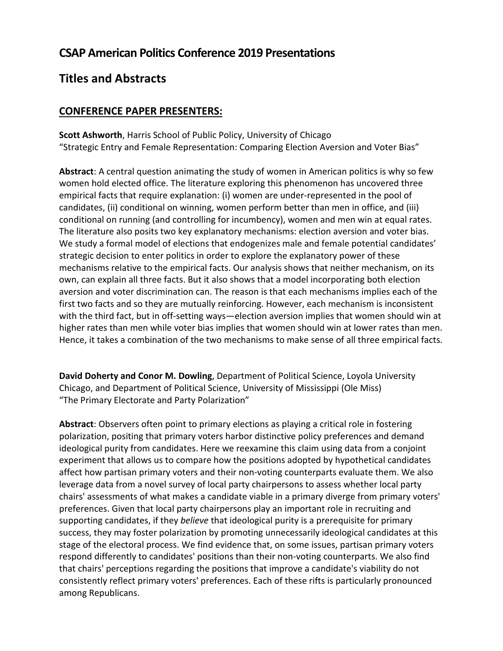## **CSAP American Politics Conference 2019 Presentations**

## **Titles and Abstracts**

## **CONFERENCE PAPER PRESENTERS:**

**Scott Ashworth**, Harris School of Public Policy, University of Chicago "Strategic Entry and Female Representation: Comparing Election Aversion and Voter Bias"

**Abstract**: A central question animating the study of women in American politics is why so few women hold elected office. The literature exploring this phenomenon has uncovered three empirical facts that require explanation: (i) women are under-represented in the pool of candidates, (ii) conditional on winning, women perform better than men in office, and (iii) conditional on running (and controlling for incumbency), women and men win at equal rates. The literature also posits two key explanatory mechanisms: election aversion and voter bias. We study a formal model of elections that endogenizes male and female potential candidates' strategic decision to enter politics in order to explore the explanatory power of these mechanisms relative to the empirical facts. Our analysis shows that neither mechanism, on its own, can explain all three facts. But it also shows that a model incorporating both election aversion and voter discrimination can. The reason is that each mechanisms implies each of the first two facts and so they are mutually reinforcing. However, each mechanism is inconsistent with the third fact, but in off-setting ways—election aversion implies that women should win at higher rates than men while voter bias implies that women should win at lower rates than men. Hence, it takes a combination of the two mechanisms to make sense of all three empirical facts.

**David Doherty and Conor M. Dowling**, Department of Political Science, Loyola University Chicago, and Department of Political Science, University of Mississippi (Ole Miss) "The Primary Electorate and Party Polarization"

**Abstract**: Observers often point to primary elections as playing a critical role in fostering polarization, positing that primary voters harbor distinctive policy preferences and demand ideological purity from candidates. Here we reexamine this claim using data from a conjoint experiment that allows us to compare how the positions adopted by hypothetical candidates affect how partisan primary voters and their non-voting counterparts evaluate them. We also leverage data from a novel survey of local party chairpersons to assess whether local party chairs' assessments of what makes a candidate viable in a primary diverge from primary voters' preferences. Given that local party chairpersons play an important role in recruiting and supporting candidates, if they *believe* that ideological purity is a prerequisite for primary success, they may foster polarization by promoting unnecessarily ideological candidates at this stage of the electoral process. We find evidence that, on some issues, partisan primary voters respond differently to candidates' positions than their non-voting counterparts. We also find that chairs' perceptions regarding the positions that improve a candidate's viability do not consistently reflect primary voters' preferences. Each of these rifts is particularly pronounced among Republicans.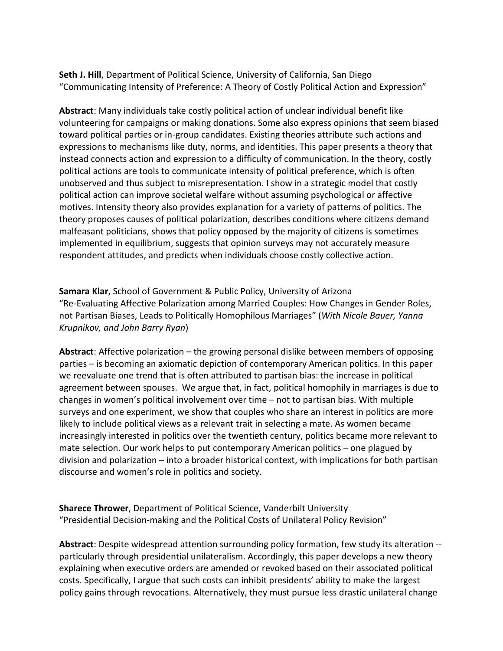**Seth J. Hill**, Department of Political Science, University of California, San Diego "Communicating Intensity of Preference: A Theory of Costly Political Action and Expression"

**Abstract**: Many individuals take costly political action of unclear individual benefit like volunteering for campaigns or making donations. Some also express opinions that seem biased toward political parties or in-group candidates. Existing theories attribute such actions and expressions to mechanisms like duty, norms, and identities. This paper presents a theory that instead connects action and expression to a difficulty of communication. In the theory, costly political actions are tools to communicate intensity of political preference, which is often unobserved and thus subject to misrepresentation. I show in a strategic model that costly political action can improve societal welfare without assuming psychological or affective motives. Intensity theory also provides explanation for a variety of patterns of politics. The theory proposes causes of political polarization, describes conditions where citizens demand malfeasant politicians, shows that policy opposed by the majority of citizens is sometimes implemented in equilibrium, suggests that opinion surveys may not accurately measure respondent attitudes, and predicts when individuals choose costly collective action.

**Samara Klar**, School of Government & Public Policy, University of Arizona "Re-Evaluating Affective Polarization among Married Couples: How Changes in Gender Roles, not Partisan Biases, Leads to Politically Homophilous Marriages" (*With Nicole Bauer, Yanna Krupnikov, and John Barry Ryan*)

**Abstract**: Affective polarization – the growing personal dislike between members of opposing parties – is becoming an axiomatic depiction of contemporary American politics. In this paper we reevaluate one trend that is often attributed to partisan bias: the increase in political agreement between spouses. We argue that, in fact, political homophily in marriages is due to changes in women's political involvement over time – not to partisan bias. With multiple surveys and one experiment, we show that couples who share an interest in politics are more likely to include political views as a relevant trait in selecting a mate. As women became increasingly interested in politics over the twentieth century, politics became more relevant to mate selection. Our work helps to put contemporary American politics – one plagued by division and polarization – into a broader historical context, with implications for both partisan discourse and women's role in politics and society.

**Sharece Thrower**, Department of Political Science, Vanderbilt University "Presidential Decision-making and the Political Costs of Unilateral Policy Revision"

**Abstract**: Despite widespread attention surrounding policy formation, few study its alteration - particularly through presidential unilateralism. Accordingly, this paper develops a new theory explaining when executive orders are amended or revoked based on their associated political costs. Specifically, I argue that such costs can inhibit presidents' ability to make the largest policy gains through revocations. Alternatively, they must pursue less drastic unilateral change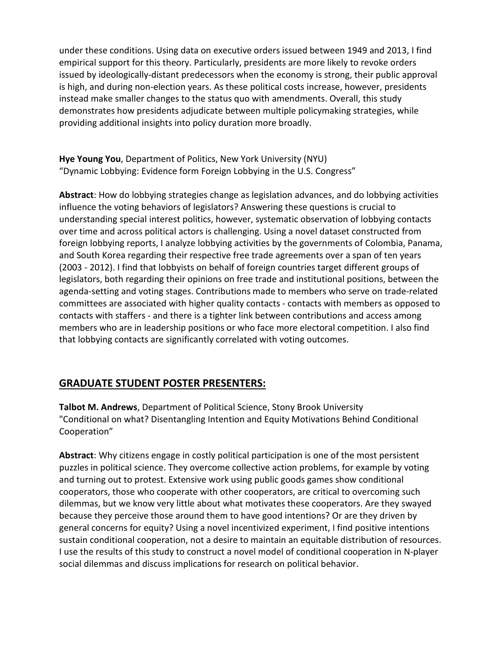under these conditions. Using data on executive orders issued between 1949 and 2013, I find empirical support for this theory. Particularly, presidents are more likely to revoke orders issued by ideologically-distant predecessors when the economy is strong, their public approval is high, and during non-election years. As these political costs increase, however, presidents instead make smaller changes to the status quo with amendments. Overall, this study demonstrates how presidents adjudicate between multiple policymaking strategies, while providing additional insights into policy duration more broadly.

**Hye Young You**, Department of Politics, New York University (NYU) "Dynamic Lobbying: Evidence form Foreign Lobbying in the U.S. Congress"

**Abstract**: How do lobbying strategies change as legislation advances, and do lobbying activities influence the voting behaviors of legislators? Answering these questions is crucial to understanding special interest politics, however, systematic observation of lobbying contacts over time and across political actors is challenging. Using a novel dataset constructed from foreign lobbying reports, I analyze lobbying activities by the governments of Colombia, Panama, and South Korea regarding their respective free trade agreements over a span of ten years (2003 - 2012). I find that lobbyists on behalf of foreign countries target different groups of legislators, both regarding their opinions on free trade and institutional positions, between the agenda-setting and voting stages. Contributions made to members who serve on trade-related committees are associated with higher quality contacts - contacts with members as opposed to contacts with staffers - and there is a tighter link between contributions and access among members who are in leadership positions or who face more electoral competition. I also find that lobbying contacts are significantly correlated with voting outcomes.

## **GRADUATE STUDENT POSTER PRESENTERS:**

**Talbot M. Andrews**, Department of Political Science, Stony Brook University "Conditional on what? Disentangling Intention and Equity Motivations Behind Conditional Cooperation"

**Abstract**: Why citizens engage in costly political participation is one of the most persistent puzzles in political science. They overcome collective action problems, for example by voting and turning out to protest. Extensive work using public goods games show conditional cooperators, those who cooperate with other cooperators, are critical to overcoming such dilemmas, but we know very little about what motivates these cooperators. Are they swayed because they perceive those around them to have good intentions? Or are they driven by general concerns for equity? Using a novel incentivized experiment, I find positive intentions sustain conditional cooperation, not a desire to maintain an equitable distribution of resources. I use the results of this study to construct a novel model of conditional cooperation in N-player social dilemmas and discuss implications for research on political behavior.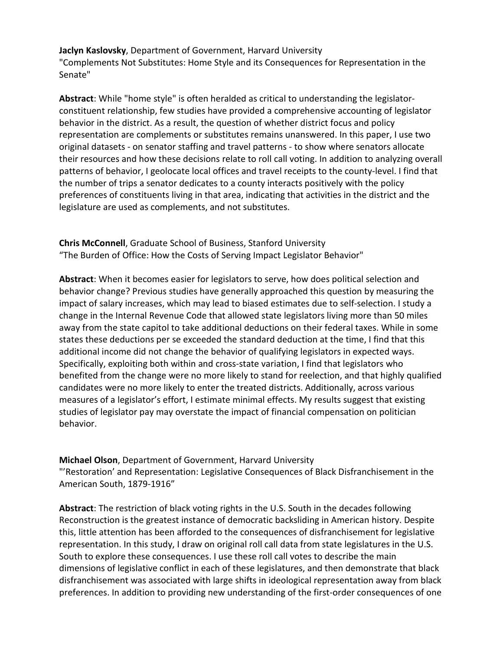**Jaclyn Kaslovsky**, Department of Government, Harvard University "Complements Not Substitutes: Home Style and its Consequences for Representation in the Senate"

**Abstract**: While "home style" is often heralded as critical to understanding the legislatorconstituent relationship, few studies have provided a comprehensive accounting of legislator behavior in the district. As a result, the question of whether district focus and policy representation are complements or substitutes remains unanswered. In this paper, I use two original datasets - on senator staffing and travel patterns - to show where senators allocate their resources and how these decisions relate to roll call voting. In addition to analyzing overall patterns of behavior, I geolocate local offices and travel receipts to the county-level. I find that the number of trips a senator dedicates to a county interacts positively with the policy preferences of constituents living in that area, indicating that activities in the district and the legislature are used as complements, and not substitutes.

**Chris McConnell**, Graduate School of Business, Stanford University "The Burden of Office: How the Costs of Serving Impact Legislator Behavior"

**Abstract**: When it becomes easier for legislators to serve, how does political selection and behavior change? Previous studies have generally approached this question by measuring the impact of salary increases, which may lead to biased estimates due to self-selection. I study a change in the Internal Revenue Code that allowed state legislators living more than 50 miles away from the state capitol to take additional deductions on their federal taxes. While in some states these deductions per se exceeded the standard deduction at the time, I find that this additional income did not change the behavior of qualifying legislators in expected ways. Specifically, exploiting both within and cross-state variation, I find that legislators who benefited from the change were no more likely to stand for reelection, and that highly qualified candidates were no more likely to enter the treated districts. Additionally, across various measures of a legislator's effort, I estimate minimal effects. My results suggest that existing studies of legislator pay may overstate the impact of financial compensation on politician behavior.

**Michael Olson**, Department of Government, Harvard University "'Restoration' and Representation: Legislative Consequences of Black Disfranchisement in the American South, 1879-1916"

**Abstract**: The restriction of black voting rights in the U.S. South in the decades following Reconstruction is the greatest instance of democratic backsliding in American history. Despite this, little attention has been afforded to the consequences of disfranchisement for legislative representation. In this study, I draw on original roll call data from state legislatures in the U.S. South to explore these consequences. I use these roll call votes to describe the main dimensions of legislative conflict in each of these legislatures, and then demonstrate that black disfranchisement was associated with large shifts in ideological representation away from black preferences. In addition to providing new understanding of the first-order consequences of one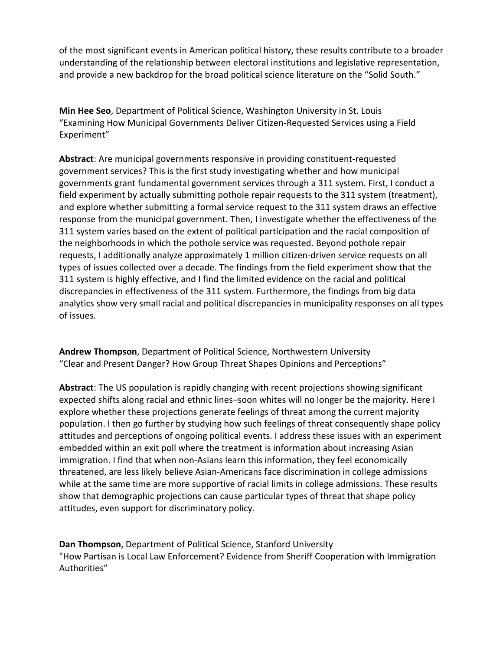of the most significant events in American political history, these results contribute to a broader understanding of the relationship between electoral institutions and legislative representation, and provide a new backdrop for the broad political science literature on the "Solid South."

**Min Hee Seo**, Department of Political Science, Washington University in St. Louis "Examining How Municipal Governments Deliver Citizen-Requested Services using a Field Experiment"

**Abstract**: Are municipal governments responsive in providing constituent-requested government services? This is the first study investigating whether and how municipal governments grant fundamental government services through a 311 system. First, I conduct a field experiment by actually submitting pothole repair requests to the 311 system (treatment), and explore whether submitting a formal service request to the 311 system draws an effective response from the municipal government. Then, I investigate whether the effectiveness of the 311 system varies based on the extent of political participation and the racial composition of the neighborhoods in which the pothole service was requested. Beyond pothole repair requests, I additionally analyze approximately 1 million citizen-driven service requests on all types of issues collected over a decade. The findings from the field experiment show that the 311 system is highly effective, and I find the limited evidence on the racial and political discrepancies in effectiveness of the 311 system. Furthermore, the findings from big data analytics show very small racial and political discrepancies in municipality responses on all types of issues.

**Andrew Thompson**, Department of Political Science, Northwestern University "Clear and Present Danger? How Group Threat Shapes Opinions and Perceptions"

**Abstract**: The US population is rapidly changing with recent projections showing significant expected shifts along racial and ethnic lines–soon whites will no longer be the majority. Here I explore whether these projections generate feelings of threat among the current majority population. I then go further by studying how such feelings of threat consequently shape policy attitudes and perceptions of ongoing political events. I address these issues with an experiment embedded within an exit poll where the treatment is information about increasing Asian immigration. I find that when non-Asians learn this information, they feel economically threatened, are less likely believe Asian-Americans face discrimination in college admissions while at the same time are more supportive of racial limits in college admissions. These results show that demographic projections can cause particular types of threat that shape policy attitudes, even support for discriminatory policy.

**Dan Thompson**, Department of Political Science, Stanford University "How Partisan is Local Law Enforcement? Evidence from Sheriff Cooperation with Immigration Authorities"